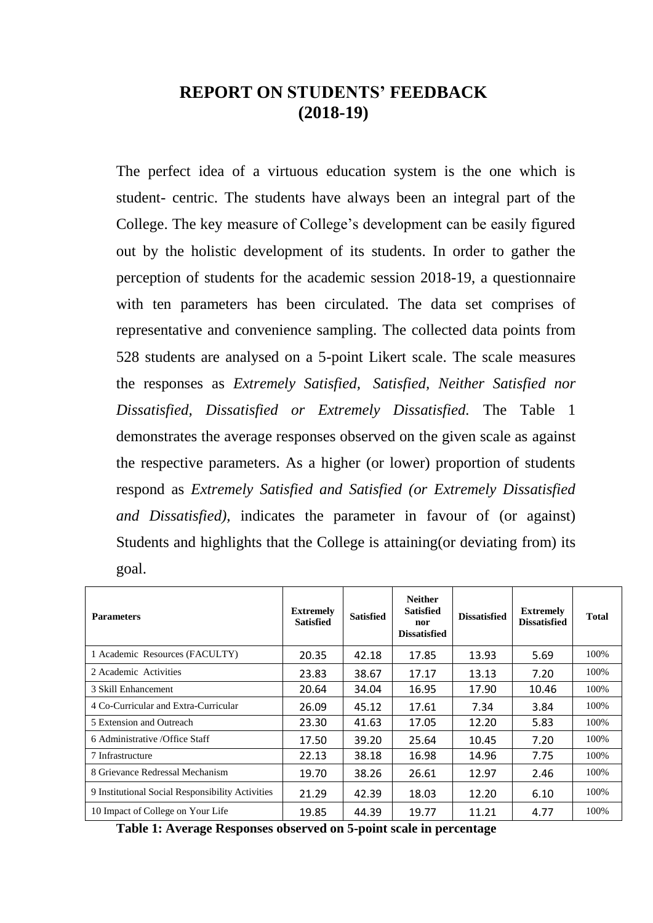## **REPORT ON STUDENTS' FEEDBACK (2018-19)**

The perfect idea of a virtuous education system is the one which is student- centric. The students have always been an integral part of the College. The key measure of College's development can be easily figured out by the holistic development of its students. In order to gather the perception of students for the academic session 2018-19, a questionnaire with ten parameters has been circulated. The data set comprises of representative and convenience sampling. The collected data points from 528 students are analysed on a 5-point Likert scale. The scale measures the responses as *Extremely Satisfied, Satisfied, Neither Satisfied nor Dissatisfied, Dissatisfied or Extremely Dissatisfied.* The Table 1 demonstrates the average responses observed on the given scale as against the respective parameters. As a higher (or lower) proportion of students respond as *Extremely Satisfied and Satisfied (or Extremely Dissatisfied and Dissatisfied),* indicates the parameter in favour of (or against) Students and highlights that the College is attaining(or deviating from) its goal.

| <b>Parameters</b>                                | <b>Extremely</b><br><b>Satisfied</b> | <b>Satisfied</b> | <b>Neither</b><br><b>Satisfied</b><br>nor<br><b>Dissatisfied</b> | <b>Dissatisfied</b> | <b>Extremely</b><br><b>Dissatisfied</b> | <b>Total</b> |
|--------------------------------------------------|--------------------------------------|------------------|------------------------------------------------------------------|---------------------|-----------------------------------------|--------------|
| 1 Academic Resources (FACULTY)                   | 20.35                                | 42.18            | 17.85                                                            | 13.93               | 5.69                                    | 100%         |
| 2 Academic Activities                            | 23.83                                | 38.67            | 17.17                                                            | 13.13               | 7.20                                    | 100%         |
| 3 Skill Enhancement                              | 20.64                                | 34.04            | 16.95                                                            | 17.90               | 10.46                                   | 100%         |
| 4 Co-Curricular and Extra-Curricular             | 26.09                                | 45.12            | 17.61                                                            | 7.34                | 3.84                                    | 100%         |
| 5 Extension and Outreach                         | 23.30                                | 41.63            | 17.05                                                            | 12.20               | 5.83                                    | 100%         |
| 6 Administrative / Office Staff                  | 17.50                                | 39.20            | 25.64                                                            | 10.45               | 7.20                                    | 100%         |
| 7 Infrastructure                                 | 22.13                                | 38.18            | 16.98                                                            | 14.96               | 7.75                                    | 100%         |
| 8 Grievance Redressal Mechanism                  | 19.70                                | 38.26            | 26.61                                                            | 12.97               | 2.46                                    | 100%         |
| 9 Institutional Social Responsibility Activities | 21.29                                | 42.39            | 18.03                                                            | 12.20               | 6.10                                    | 100%         |
| 10 Impact of College on Your Life                | 19.85                                | 44.39            | 19.77                                                            | 11.21               | 4.77                                    | 100%         |

**Table 1: Average Responses observed on 5-point scale in percentage**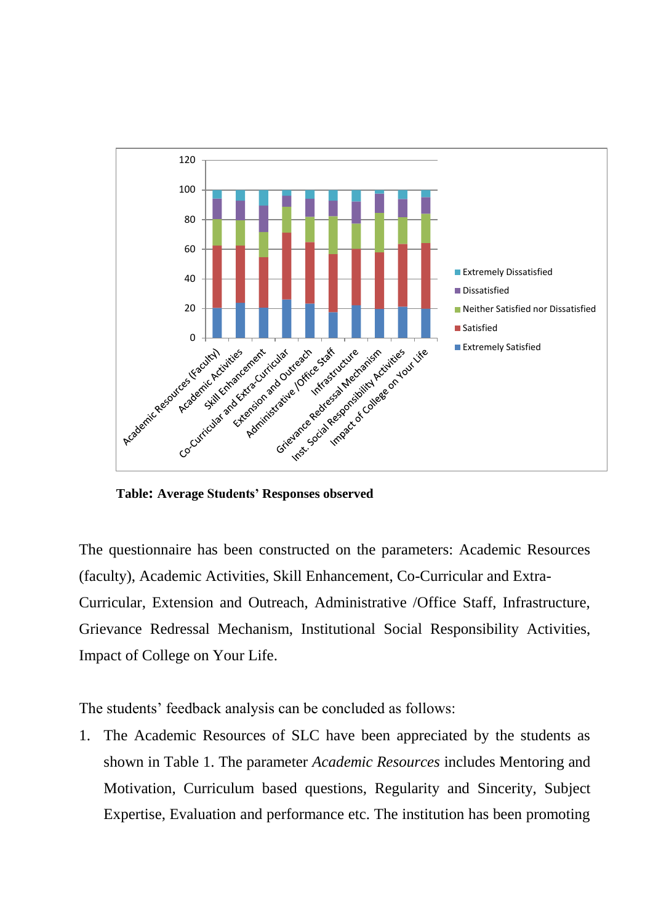

**Table: Average Students' Responses observed** 

The questionnaire has been constructed on the parameters: Academic Resources (faculty), Academic Activities, Skill Enhancement, Co-Curricular and Extra-Curricular, Extension and Outreach, Administrative /Office Staff, Infrastructure, Grievance Redressal Mechanism, Institutional Social Responsibility Activities, Impact of College on Your Life.

The students' feedback analysis can be concluded as follows:

1. The Academic Resources of SLC have been appreciated by the students as shown in Table 1. The parameter *Academic Resources* includes Mentoring and Motivation, Curriculum based questions, Regularity and Sincerity, Subject Expertise, Evaluation and performance etc. The institution has been promoting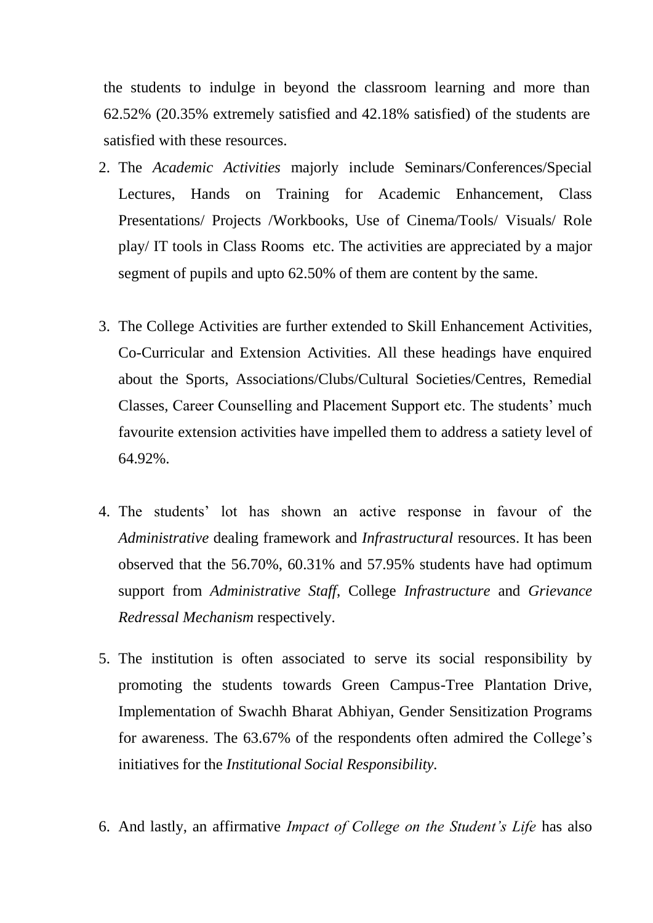the students to indulge in beyond the classroom learning and more than 62.52% (20.35% extremely satisfied and 42.18% satisfied) of the students are satisfied with these resources.

- 2. The *Academic Activities* majorly include Seminars/Conferences/Special Lectures, Hands on Training for Academic Enhancement, Class Presentations/ Projects /Workbooks, Use of Cinema/Tools/ Visuals/ Role play/ IT tools in Class Rooms etc. The activities are appreciated by a major segment of pupils and upto 62.50% of them are content by the same.
- 3. The College Activities are further extended to Skill Enhancement Activities, Co-Curricular and Extension Activities. All these headings have enquired about the Sports, Associations/Clubs/Cultural Societies/Centres, Remedial Classes, Career Counselling and Placement Support etc. The students' much favourite extension activities have impelled them to address a satiety level of 64.92%.
- 4. The students' lot has shown an active response in favour of the *Administrative* dealing framework and *Infrastructural* resources. It has been observed that the 56.70%, 60.31% and 57.95% students have had optimum support from *Administrative Staff*, College *Infrastructure* and *Grievance Redressal Mechanism* respectively.
- 5. The institution is often associated to serve its social responsibility by promoting the students towards Green Campus-Tree Plantation Drive, Implementation of Swachh Bharat Abhiyan, Gender Sensitization Programs for awareness. The 63.67% of the respondents often admired the College's initiatives for the *Institutional Social Responsibility.*
- 6. And lastly, an affirmative *Impact of College on the Student's Life* has also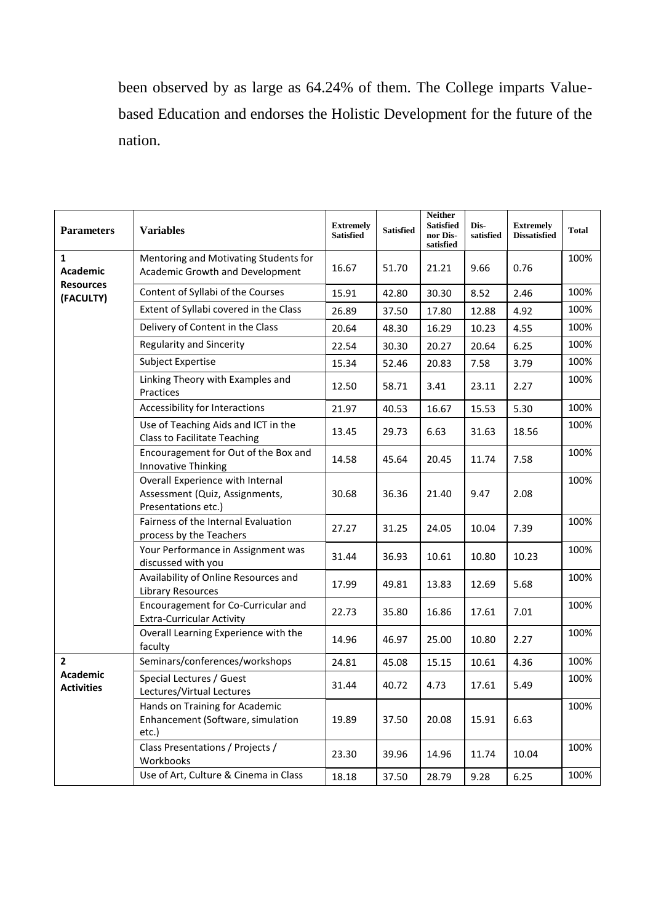been observed by as large as 64.24% of them. The College imparts Valuebased Education and endorses the Holistic Development for the future of the nation.

| <b>Parameters</b>                                         | <b>Variables</b>                                                                          | <b>Extremely</b><br><b>Satisfied</b> | <b>Satisfied</b> | <b>Neither</b><br><b>Satisfied</b><br>nor Dis-<br>satisfied | Dis-<br>satisfied | <b>Extremely</b><br><b>Dissatisfied</b> | <b>Total</b> |
|-----------------------------------------------------------|-------------------------------------------------------------------------------------------|--------------------------------------|------------------|-------------------------------------------------------------|-------------------|-----------------------------------------|--------------|
| $\mathbf{1}$<br>Academic<br><b>Resources</b><br>(FACULTY) | Mentoring and Motivating Students for<br>Academic Growth and Development                  | 16.67                                | 51.70            | 21.21                                                       | 9.66              | 0.76                                    | 100%         |
|                                                           | Content of Syllabi of the Courses                                                         | 15.91                                | 42.80            | 30.30                                                       | 8.52              | 2.46                                    | 100%         |
|                                                           | Extent of Syllabi covered in the Class                                                    | 26.89                                | 37.50            | 17.80                                                       | 12.88             | 4.92                                    | 100%         |
|                                                           | Delivery of Content in the Class                                                          | 20.64                                | 48.30            | 16.29                                                       | 10.23             | 4.55                                    | 100%         |
|                                                           | Regularity and Sincerity                                                                  | 22.54                                | 30.30            | 20.27                                                       | 20.64             | 6.25                                    | 100%         |
|                                                           | Subject Expertise                                                                         | 15.34                                | 52.46            | 20.83                                                       | 7.58              | 3.79                                    | 100%         |
|                                                           | Linking Theory with Examples and<br>Practices                                             | 12.50                                | 58.71            | 3.41                                                        | 23.11             | 2.27                                    | 100%         |
|                                                           | Accessibility for Interactions                                                            | 21.97                                | 40.53            | 16.67                                                       | 15.53             | 5.30                                    | 100%         |
|                                                           | Use of Teaching Aids and ICT in the<br><b>Class to Facilitate Teaching</b>                | 13.45                                | 29.73            | 6.63                                                        | 31.63             | 18.56                                   | 100%         |
|                                                           | Encouragement for Out of the Box and<br>Innovative Thinking                               | 14.58                                | 45.64            | 20.45                                                       | 11.74             | 7.58                                    | 100%         |
|                                                           | Overall Experience with Internal<br>Assessment (Quiz, Assignments,<br>Presentations etc.) | 30.68                                | 36.36            | 21.40                                                       | 9.47              | 2.08                                    | 100%         |
|                                                           | Fairness of the Internal Evaluation<br>process by the Teachers                            | 27.27                                | 31.25            | 24.05                                                       | 10.04             | 7.39                                    | 100%         |
|                                                           | Your Performance in Assignment was<br>discussed with you                                  | 31.44                                | 36.93            | 10.61                                                       | 10.80             | 10.23                                   | 100%         |
|                                                           | Availability of Online Resources and<br><b>Library Resources</b>                          | 17.99                                | 49.81            | 13.83                                                       | 12.69             | 5.68                                    | 100%         |
|                                                           | Encouragement for Co-Curricular and<br><b>Extra-Curricular Activity</b>                   | 22.73                                | 35.80            | 16.86                                                       | 17.61             | 7.01                                    | 100%         |
|                                                           | Overall Learning Experience with the<br>faculty                                           | 14.96                                | 46.97            | 25.00                                                       | 10.80             | 2.27                                    | 100%         |
| $\mathbf{2}$<br><b>Academic</b><br><b>Activities</b>      | Seminars/conferences/workshops                                                            | 24.81                                | 45.08            | 15.15                                                       | 10.61             | 4.36                                    | 100%         |
|                                                           | Special Lectures / Guest<br>Lectures/Virtual Lectures                                     | 31.44                                | 40.72            | 4.73                                                        | 17.61             | 5.49                                    | 100%         |
|                                                           | Hands on Training for Academic<br>Enhancement (Software, simulation<br>etc.)              | 19.89                                | 37.50            | 20.08                                                       | 15.91             | 6.63                                    | 100%         |
|                                                           | Class Presentations / Projects /<br>Workbooks                                             | 23.30                                | 39.96            | 14.96                                                       | 11.74             | 10.04                                   | 100%         |
|                                                           | Use of Art, Culture & Cinema in Class                                                     | 18.18                                | 37.50            | 28.79                                                       | 9.28              | 6.25                                    | 100%         |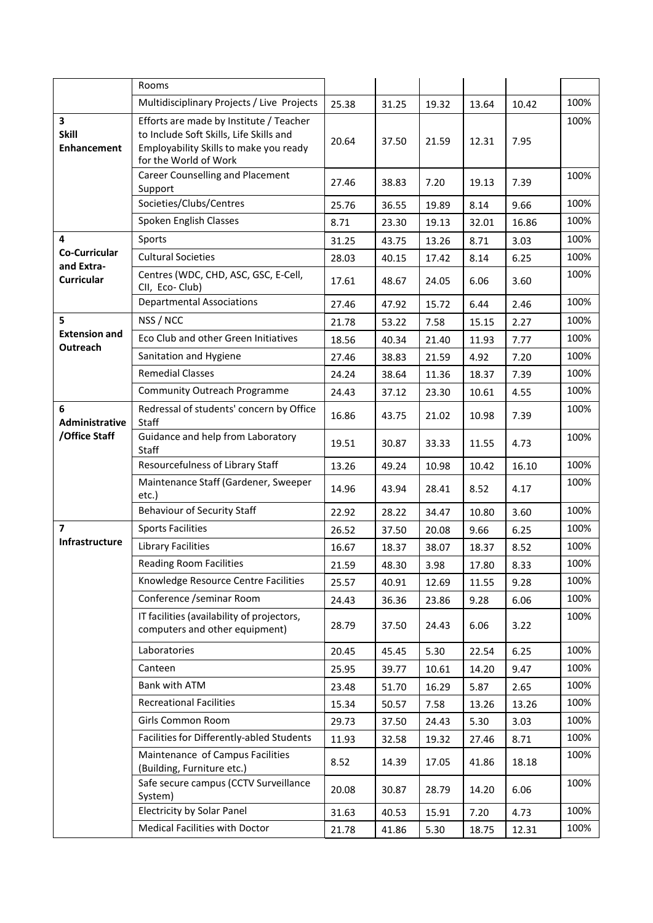|                                         | Rooms                                                                                                                                                 |       |       |       |       |       |      |
|-----------------------------------------|-------------------------------------------------------------------------------------------------------------------------------------------------------|-------|-------|-------|-------|-------|------|
|                                         | Multidisciplinary Projects / Live Projects                                                                                                            | 25.38 | 31.25 | 19.32 | 13.64 | 10.42 | 100% |
| 3<br><b>Skill</b><br><b>Enhancement</b> | Efforts are made by Institute / Teacher<br>to Include Soft Skills, Life Skills and<br>Employability Skills to make you ready<br>for the World of Work | 20.64 | 37.50 | 21.59 | 12.31 | 7.95  | 100% |
|                                         | Career Counselling and Placement<br>Support                                                                                                           | 27.46 | 38.83 | 7.20  | 19.13 | 7.39  | 100% |
|                                         | Societies/Clubs/Centres                                                                                                                               | 25.76 | 36.55 | 19.89 | 8.14  | 9.66  | 100% |
|                                         | Spoken English Classes                                                                                                                                | 8.71  | 23.30 | 19.13 | 32.01 | 16.86 | 100% |
| 4                                       | Sports                                                                                                                                                | 31.25 | 43.75 | 13.26 | 8.71  | 3.03  | 100% |
| <b>Co-Curricular</b><br>and Extra-      | <b>Cultural Societies</b>                                                                                                                             | 28.03 | 40.15 | 17.42 | 8.14  | 6.25  | 100% |
| <b>Curricular</b>                       | Centres (WDC, CHD, ASC, GSC, E-Cell,<br>CII, Eco-Club)                                                                                                | 17.61 | 48.67 | 24.05 | 6.06  | 3.60  | 100% |
|                                         | <b>Departmental Associations</b>                                                                                                                      | 27.46 | 47.92 | 15.72 | 6.44  | 2.46  | 100% |
| 5                                       | NSS / NCC                                                                                                                                             | 21.78 | 53.22 | 7.58  | 15.15 | 2.27  | 100% |
| <b>Extension and</b><br>Outreach        | Eco Club and other Green Initiatives                                                                                                                  | 18.56 | 40.34 | 21.40 | 11.93 | 7.77  | 100% |
|                                         | Sanitation and Hygiene                                                                                                                                | 27.46 | 38.83 | 21.59 | 4.92  | 7.20  | 100% |
|                                         | <b>Remedial Classes</b>                                                                                                                               | 24.24 | 38.64 | 11.36 | 18.37 | 7.39  | 100% |
|                                         | <b>Community Outreach Programme</b>                                                                                                                   | 24.43 | 37.12 | 23.30 | 10.61 | 4.55  | 100% |
| 6<br>Administrative<br>/Office Staff    | Redressal of students' concern by Office<br><b>Staff</b>                                                                                              | 16.86 | 43.75 | 21.02 | 10.98 | 7.39  | 100% |
|                                         | Guidance and help from Laboratory<br><b>Staff</b>                                                                                                     | 19.51 | 30.87 | 33.33 | 11.55 | 4.73  | 100% |
|                                         | Resourcefulness of Library Staff                                                                                                                      | 13.26 | 49.24 | 10.98 | 10.42 | 16.10 | 100% |
|                                         | Maintenance Staff (Gardener, Sweeper<br>etc.)                                                                                                         | 14.96 | 43.94 | 28.41 | 8.52  | 4.17  | 100% |
|                                         | <b>Behaviour of Security Staff</b>                                                                                                                    | 22.92 | 28.22 | 34.47 | 10.80 | 3.60  | 100% |
| $\overline{\phantom{a}}$                | <b>Sports Facilities</b>                                                                                                                              | 26.52 | 37.50 | 20.08 | 9.66  | 6.25  | 100% |
| Infrastructure                          | <b>Library Facilities</b>                                                                                                                             | 16.67 | 18.37 | 38.07 | 18.37 | 8.52  | 100% |
|                                         | <b>Reading Room Facilities</b>                                                                                                                        | 21.59 | 48.30 | 3.98  | 17.80 | 8.33  | 100% |
|                                         | Knowledge Resource Centre Facilities                                                                                                                  | 25.57 | 40.91 | 12.69 | 11.55 | 9.28  | 100% |
|                                         | Conference /seminar Room                                                                                                                              | 24.43 | 36.36 | 23.86 | 9.28  | 6.06  | 100% |
|                                         | IT facilities (availability of projectors,<br>computers and other equipment)                                                                          | 28.79 | 37.50 | 24.43 | 6.06  | 3.22  | 100% |
|                                         | Laboratories                                                                                                                                          | 20.45 | 45.45 | 5.30  | 22.54 | 6.25  | 100% |
|                                         | Canteen                                                                                                                                               | 25.95 | 39.77 | 10.61 | 14.20 | 9.47  | 100% |
|                                         | Bank with ATM                                                                                                                                         | 23.48 | 51.70 | 16.29 | 5.87  | 2.65  | 100% |
|                                         | <b>Recreational Facilities</b>                                                                                                                        | 15.34 | 50.57 | 7.58  | 13.26 | 13.26 | 100% |
|                                         | Girls Common Room                                                                                                                                     | 29.73 | 37.50 | 24.43 | 5.30  | 3.03  | 100% |
|                                         | Facilities for Differently-abled Students                                                                                                             | 11.93 | 32.58 | 19.32 | 27.46 | 8.71  | 100% |
|                                         | Maintenance of Campus Facilities<br>(Building, Furniture etc.)                                                                                        | 8.52  | 14.39 | 17.05 | 41.86 | 18.18 | 100% |
|                                         | Safe secure campus (CCTV Surveillance<br>System)                                                                                                      | 20.08 | 30.87 | 28.79 | 14.20 | 6.06  | 100% |
|                                         | <b>Electricity by Solar Panel</b>                                                                                                                     | 31.63 | 40.53 | 15.91 | 7.20  | 4.73  | 100% |
|                                         | Medical Facilities with Doctor                                                                                                                        | 21.78 | 41.86 | 5.30  | 18.75 | 12.31 | 100% |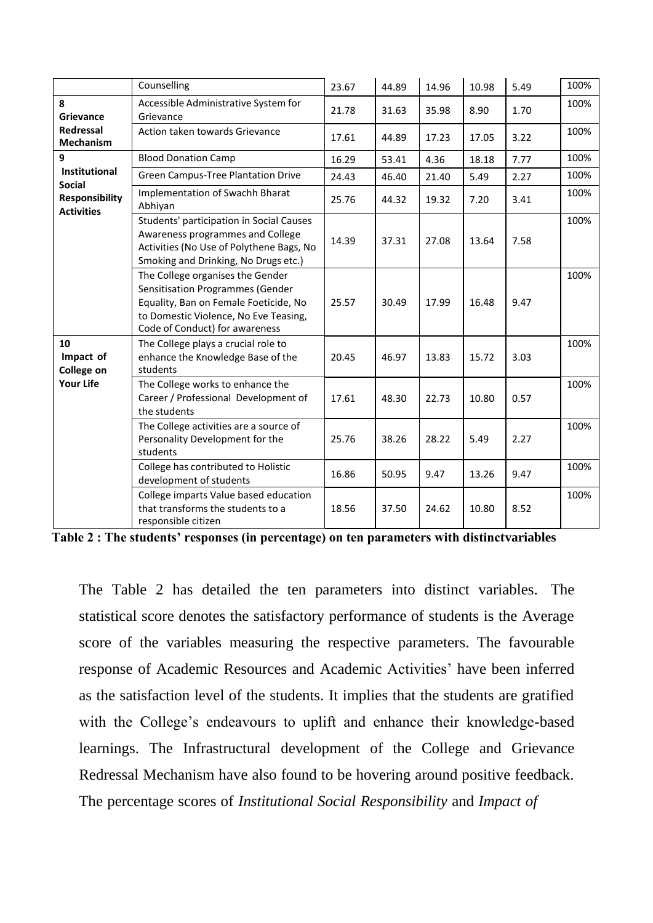|                                                 | Counselling                                                                                                                                                                              | 23.67 | 44.89 | 14.96 | 10.98 | 5.49 | 100% |
|-------------------------------------------------|------------------------------------------------------------------------------------------------------------------------------------------------------------------------------------------|-------|-------|-------|-------|------|------|
| 8<br>Grievance<br>Redressal<br><b>Mechanism</b> | Accessible Administrative System for<br>Grievance                                                                                                                                        | 21.78 | 31.63 | 35.98 | 8.90  | 1.70 | 100% |
|                                                 | Action taken towards Grievance                                                                                                                                                           | 17.61 | 44.89 | 17.23 | 17.05 | 3.22 | 100% |
| 9                                               | <b>Blood Donation Camp</b>                                                                                                                                                               | 16.29 | 53.41 | 4.36  | 18.18 | 7.77 | 100% |
| <b>Institutional</b><br><b>Social</b>           | <b>Green Campus-Tree Plantation Drive</b>                                                                                                                                                | 24.43 | 46.40 | 21.40 | 5.49  | 2.27 | 100% |
| <b>Responsibility</b><br><b>Activities</b>      | Implementation of Swachh Bharat<br>Abhiyan                                                                                                                                               | 25.76 | 44.32 | 19.32 | 7.20  | 3.41 | 100% |
|                                                 | Students' participation in Social Causes<br>Awareness programmes and College<br>Activities (No Use of Polythene Bags, No<br>Smoking and Drinking, No Drugs etc.)                         | 14.39 | 37.31 | 27.08 | 13.64 | 7.58 | 100% |
|                                                 | The College organises the Gender<br>Sensitisation Programmes (Gender<br>Equality, Ban on Female Foeticide, No<br>to Domestic Violence, No Eve Teasing,<br>Code of Conduct) for awareness | 25.57 | 30.49 | 17.99 | 16.48 | 9.47 | 100% |
| 10<br>Impact of<br>College on                   | The College plays a crucial role to<br>enhance the Knowledge Base of the<br>students                                                                                                     | 20.45 | 46.97 | 13.83 | 15.72 | 3.03 | 100% |
| <b>Your Life</b>                                | The College works to enhance the<br>Career / Professional Development of<br>the students                                                                                                 | 17.61 | 48.30 | 22.73 | 10.80 | 0.57 | 100% |
|                                                 | The College activities are a source of<br>Personality Development for the<br>students                                                                                                    | 25.76 | 38.26 | 28.22 | 5.49  | 2.27 | 100% |
|                                                 | College has contributed to Holistic<br>development of students                                                                                                                           | 16.86 | 50.95 | 9.47  | 13.26 | 9.47 | 100% |
|                                                 | College imparts Value based education<br>that transforms the students to a<br>responsible citizen                                                                                        | 18.56 | 37.50 | 24.62 | 10.80 | 8.52 | 100% |

**Table 2 : The students' responses (in percentage) on ten parameters with distinctvariables**

The Table 2 has detailed the ten parameters into distinct variables. The statistical score denotes the satisfactory performance of students is the Average score of the variables measuring the respective parameters. The favourable response of Academic Resources and Academic Activities' have been inferred as the satisfaction level of the students. It implies that the students are gratified with the College's endeavours to uplift and enhance their knowledge-based learnings. The Infrastructural development of the College and Grievance Redressal Mechanism have also found to be hovering around positive feedback. The percentage scores of *Institutional Social Responsibility* and *Impact of*